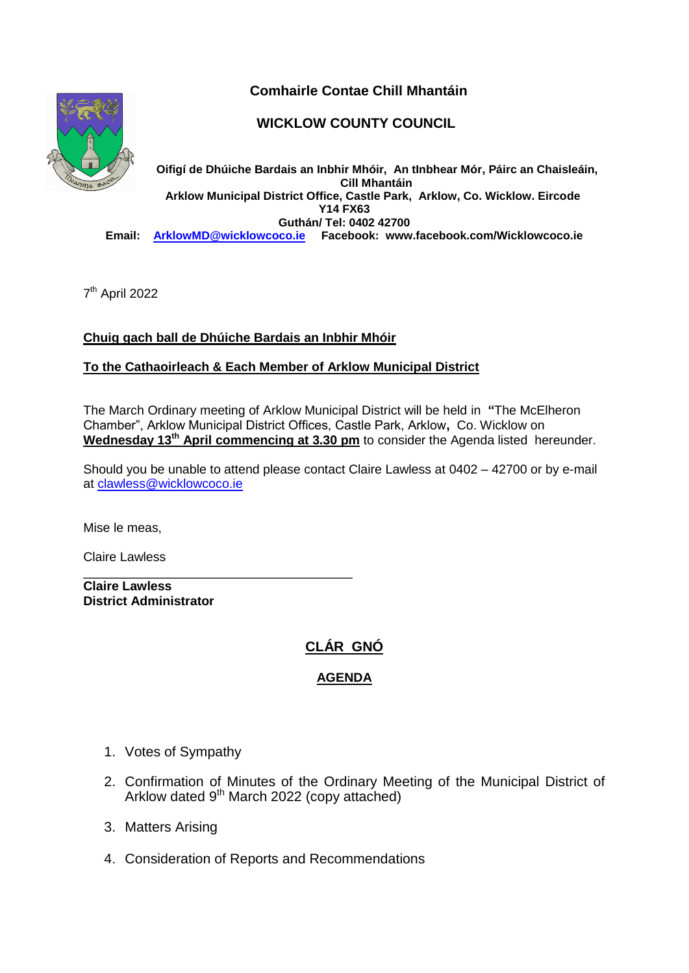



## **WICKLOW COUNTY COUNCIL**

**Oifigí de Dhúiche Bardais an Inbhir Mhóir, An tInbhear Mór, Páirc an Chaisleáin, Cill Mhantáin Arklow Municipal District Office, Castle Park, Arklow, Co. Wicklow. Eircode Y14 FX63 Guthán/ Tel: 0402 42700 Email: [ArklowMD@wicklowcoco.ie](mailto:ArklowMD@wicklowcoco.ie) Facebook: www.facebook.com/Wicklowcoco.ie**

7<sup>th</sup> April 2022

## **Chuig gach ball de Dhúiche Bardais an Inbhir Mhóir**

\_\_\_\_\_\_\_\_\_\_\_\_\_\_\_\_\_\_\_\_\_\_\_\_\_\_\_\_\_\_\_\_\_\_\_\_\_\_

#### **To the Cathaoirleach & Each Member of Arklow Municipal District**

The March Ordinary meeting of Arklow Municipal District will be held in **"**The McElheron Chamber", Arklow Municipal District Offices, Castle Park, Arklow**,** Co. Wicklow on **Wednesday 13th April commencing at 3.30 pm** to consider the Agenda listed hereunder.

Should you be unable to attend please contact Claire Lawless at 0402 – 42700 or by e-mail at [clawless@wicklowcoco.ie](mailto:clawless@wicklowcoco.ie)

Mise le meas,

Claire Lawless

**Claire Lawless District Administrator** 

# **CLÁR GNÓ**

### **AGENDA**

- 1. Votes of Sympathy
- 2. Confirmation of Minutes of the Ordinary Meeting of the Municipal District of Arklow dated 9<sup>th</sup> March 2022 (copy attached)
- 3. Matters Arising
- 4. Consideration of Reports and Recommendations